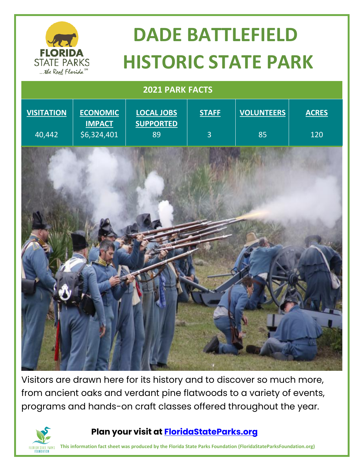

# **DADE BATTLEFIELD HISTORIC STATE PARK**

## **2021 PARK FACTS VISITATION** 40,442 **ECONOMIC IMPACT** \$6,324,401 **LOCAL JOBS SUPPORTED** 89 **STAFF** 3 **VOLUNTEERS** 85 **ACRES** 120

Visitors are drawn here for its history and to discover so much more, from ancient oaks and verdant pine flatwoods to a variety of events, programs and hands-on craft classes offered throughout the year.



#### **Plan your visit at<FloridaStateParks.org>**

**This information fact sheet was produced by the Florida State Parks Foundation (FloridaStateParksFoundation.org)**